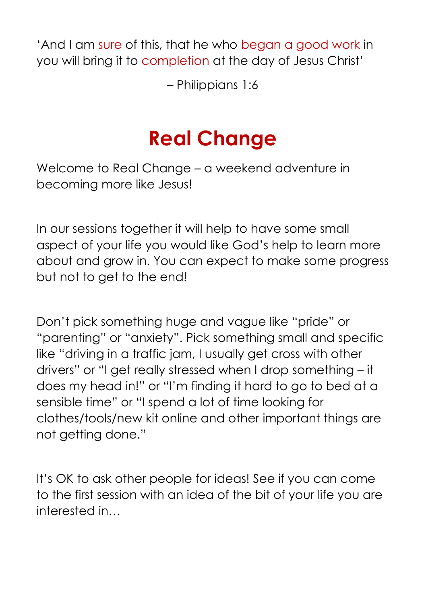'And I am sure of this, that he who began a good work in you will bring it to completion at the day of Jesus Christ'

– Philippians 1:6

## **Real Change**

Welcome to Real Change – a weekend adventure in becoming more like Jesus!

In our sessions together it will help to have some small aspect of your life you would like God's help to learn more about and grow in. You can expect to make some progress but not to get to the end!

Don't pick something huge and vague like "pride" or "parenting" or "anxiety". Pick something small and specific like "driving in a traffic jam, I usually get cross with other drivers" or "I get really stressed when I drop something – it does my head in!" or "I'm finding it hard to go to bed at a sensible time" or "I spend a lot of time looking for clothes/tools/new kit online and other important things are not getting done."

It's OK to ask other people for ideas! See if you can come to the first session with an idea of the bit of your life you are interested in…